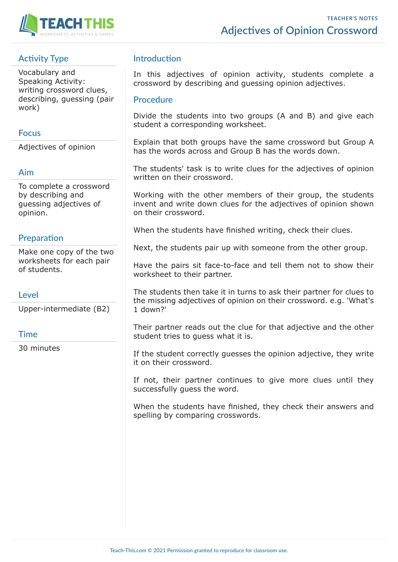

## **Activity Type**

Vocabulary and Speaking Activity: writing crossword clues, describing, guessing (pair work)

#### **Focus**

Adjectives of opinion

#### **Aim**

To complete a crossword by describing and guessing adjectives of opinion.

## **Preparation**

Make one copy of the two worksheets for each pair of students.

#### **Level**

Upper-intermediate (B2)

### **Time**

30 minutes

## **Introduction**

In this adjectives of opinion activity, students complete a crossword by describing and guessing opinion adjectives.

#### **Procedure**

Divide the students into two groups (A and B) and give each student a corresponding worksheet.

Explain that both groups have the same crossword but Group A has the words across and Group B has the words down.

The students' task is to write clues for the adjectives of opinion written on their crossword.

Working with the other members of their group, the students invent and write down clues for the adjectives of opinion shown on their crossword.

When the students have finished writing, check their clues.

Next, the students pair up with someone from the other group.

Have the pairs sit face-to-face and tell them not to show their worksheet to their partner.

The students then take it in turns to ask their partner for clues to the missing adjectives of opinion on their crossword. e.g. 'What's 1 down?'

Their partner reads out the clue for that adjective and the other student tries to guess what it is.

If the student correctly guesses the opinion adjective, they write it on their crossword.

If not, their partner continues to give more clues until they successfully guess the word.

When the students have finished, they check their answers and spelling by comparing crosswords.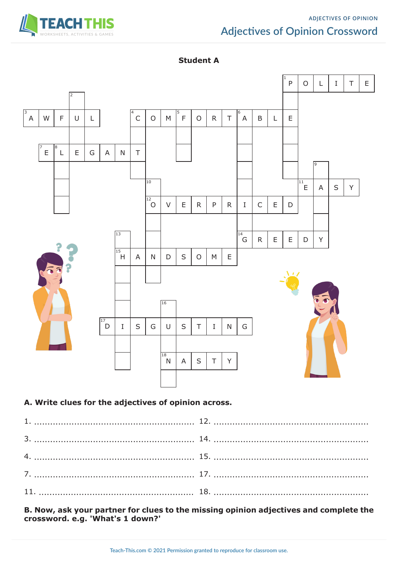

## **ADJECTIVES OF OPINION Adjectives of Opinion Crossword**

#### **Student A**



#### **A. Write clues for the adjectives of opinion across.**

**B. Now, ask your partner for clues to the missing opinion adjectives and complete the crossword. e.g. 'What's 1 down?'**